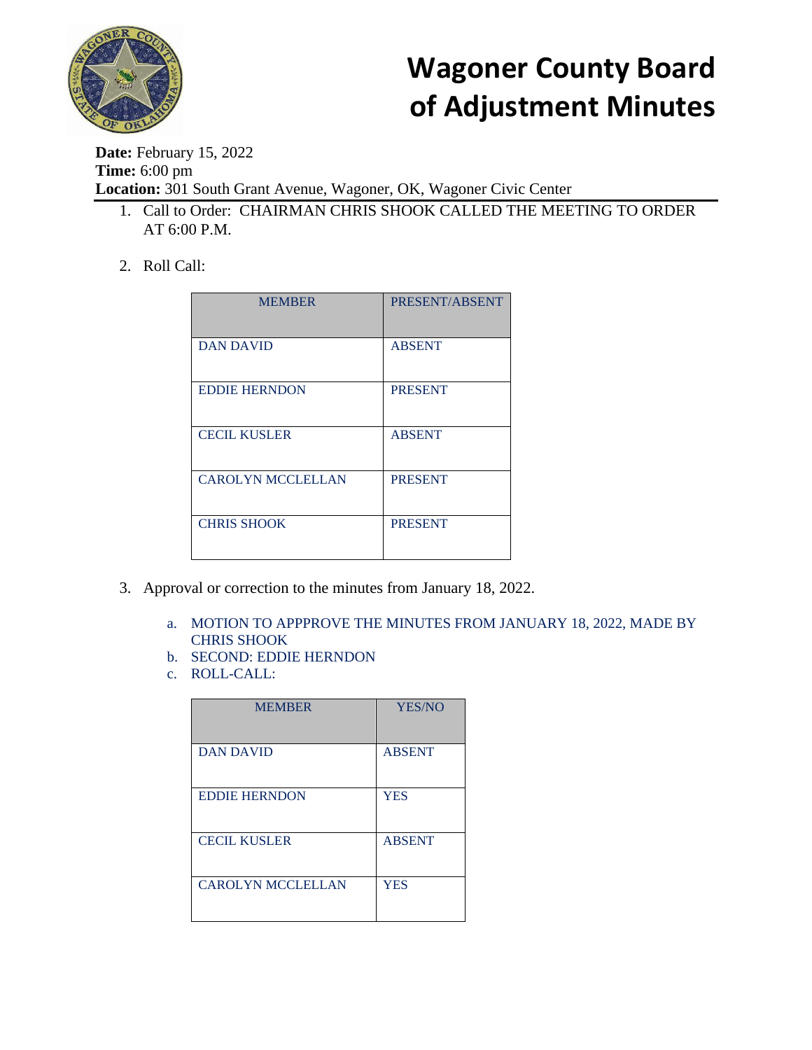

**Date:** February 15, 2022 **Time:** 6:00 pm **Location:** 301 South Grant Avenue, Wagoner, OK, Wagoner Civic Center

- 1. Call to Order: CHAIRMAN CHRIS SHOOK CALLED THE MEETING TO ORDER AT 6:00 P.M.
- 2. Roll Call:

| <b>MEMBER</b>            | PRESENT/ABSENT |
|--------------------------|----------------|
| <b>DAN DAVID</b>         | <b>ABSENT</b>  |
| <b>EDDIE HERNDON</b>     | <b>PRESENT</b> |
| <b>CECIL KUSLER</b>      | <b>ABSENT</b>  |
| <b>CAROLYN MCCLELLAN</b> | <b>PRESENT</b> |
| <b>CHRIS SHOOK</b>       | <b>PRESENT</b> |

- 3. Approval or correction to the minutes from January 18, 2022.
	- a. MOTION TO APPPROVE THE MINUTES FROM JANUARY 18, 2022, MADE BY CHRIS SHOOK
	- b. SECOND: EDDIE HERNDON
	- c. ROLL-CALL:

| <b>MEMBER</b>            | <b>YES/NO</b> |
|--------------------------|---------------|
| <b>DAN DAVID</b>         | <b>ABSENT</b> |
| <b>EDDIE HERNDON</b>     | <b>YES</b>    |
| <b>CECIL KUSLER</b>      | <b>ABSENT</b> |
| <b>CAROLYN MCCLELLAN</b> | <b>YES</b>    |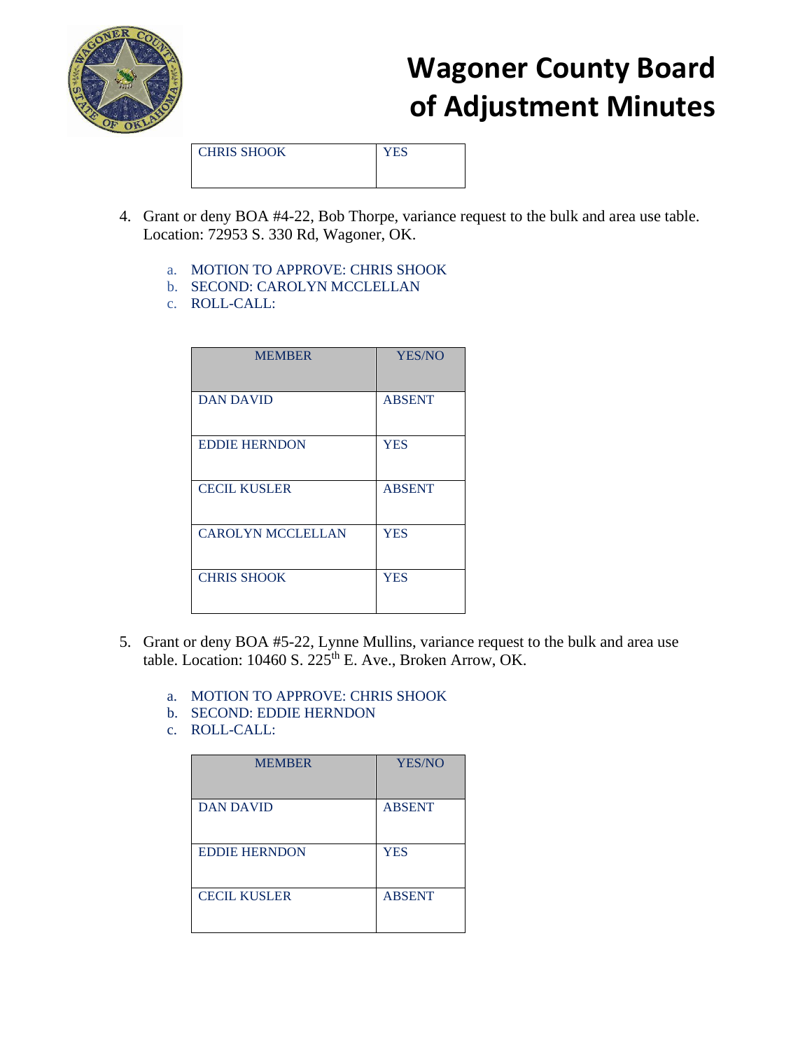

CHRIS SHOOK YES

- 4. Grant or deny BOA #4-22, Bob Thorpe, variance request to the bulk and area use table. Location: 72953 S. 330 Rd, Wagoner, OK.
	- a. MOTION TO APPROVE: CHRIS SHOOK
	- b. SECOND: CAROLYN MCCLELLAN
	- c. ROLL-CALL:

| <b>MEMBER</b>            | <b>YES/NO</b> |
|--------------------------|---------------|
| <b>DAN DAVID</b>         | <b>ABSENT</b> |
| <b>EDDIE HERNDON</b>     | <b>YES</b>    |
| <b>CECIL KUSLER</b>      | <b>ABSENT</b> |
| <b>CAROLYN MCCLELLAN</b> | <b>YES</b>    |
| <b>CHRIS SHOOK</b>       | <b>YES</b>    |

- 5. Grant or deny BOA #5-22, Lynne Mullins, variance request to the bulk and area use table. Location: 10460 S.  $225^{\text{th}}$  E. Ave., Broken Arrow, OK.
	- a. MOTION TO APPROVE: CHRIS SHOOK
	- b. SECOND: EDDIE HERNDON
	- c. ROLL-CALL:

| <b>MEMBER</b>        | <b>YES/NO</b> |
|----------------------|---------------|
| <b>DAN DAVID</b>     | <b>ABSENT</b> |
| <b>EDDIE HERNDON</b> | <b>YES</b>    |
| <b>CECIL KUSLER</b>  | <b>ABSENT</b> |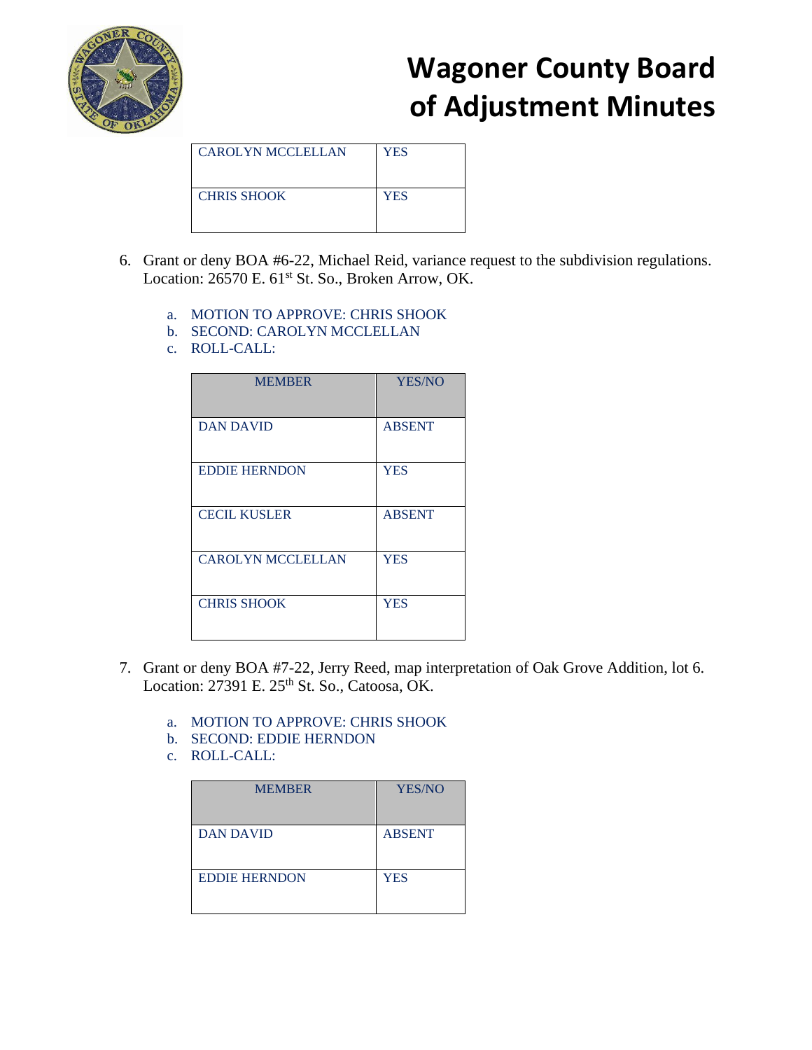

| <b>CAROLYN MCCLELLAN</b> | <b>YES</b> |
|--------------------------|------------|
| <b>CHRIS SHOOK</b>       | <b>YES</b> |

- 6. Grant or deny BOA #6-22, Michael Reid, variance request to the subdivision regulations. Location: 26570 E. 61<sup>st</sup> St. So., Broken Arrow, OK.
	- a. MOTION TO APPROVE: CHRIS SHOOK
	- b. SECOND: CAROLYN MCCLELLAN
	- c. ROLL-CALL:

| <b>MEMBER</b>            | <b>YES/NO</b> |
|--------------------------|---------------|
| <b>DAN DAVID</b>         | <b>ABSENT</b> |
| <b>EDDIE HERNDON</b>     | <b>YES</b>    |
| <b>CECIL KUSLER</b>      | <b>ABSENT</b> |
| <b>CAROLYN MCCLELLAN</b> | <b>YES</b>    |
| <b>CHRIS SHOOK</b>       | <b>YES</b>    |

- 7. Grant or deny BOA #7-22, Jerry Reed, map interpretation of Oak Grove Addition, lot 6. Location:  $27391$  E.  $25<sup>th</sup>$  St. So., Catoosa, OK.
	- a. MOTION TO APPROVE: CHRIS SHOOK
	- b. SECOND: EDDIE HERNDON
	- c. ROLL-CALL:

| <b>MEMBER</b>        | <b>YES/NO</b> |
|----------------------|---------------|
| <b>DAN DAVID</b>     | <b>ABSENT</b> |
| <b>EDDIE HERNDON</b> | <b>YES</b>    |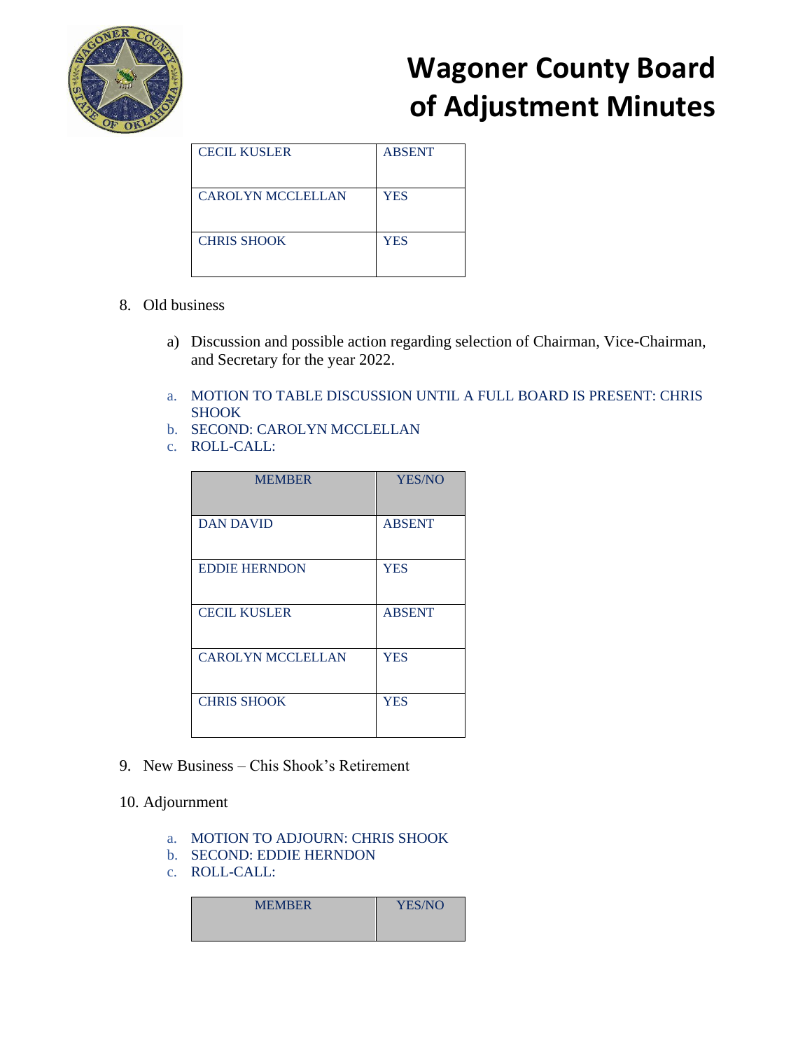

| <b>CECIL KUSLER</b>      | <b>ABSENT</b> |
|--------------------------|---------------|
| <b>CAROLYN MCCLELLAN</b> | <b>YES</b>    |
| <b>CHRIS SHOOK</b>       | <b>YES</b>    |

#### 8. Old business

- a) Discussion and possible action regarding selection of Chairman, Vice-Chairman, and Secretary for the year 2022.
- a. MOTION TO TABLE DISCUSSION UNTIL A FULL BOARD IS PRESENT: CHRIS SHOOK
- b. SECOND: CAROLYN MCCLELLAN
- c. ROLL-CALL:

| <b>MEMBER</b>            | <b>YES/NO</b> |
|--------------------------|---------------|
| <b>DAN DAVID</b>         | <b>ABSENT</b> |
| <b>EDDIE HERNDON</b>     | <b>YES</b>    |
| <b>CECIL KUSLER</b>      | <b>ABSENT</b> |
| <b>CAROLYN MCCLELLAN</b> | <b>YES</b>    |
| <b>CHRIS SHOOK</b>       | <b>YES</b>    |

9. New Business – Chis Shook's Retirement

#### 10. Adjournment

- a. MOTION TO ADJOURN: CHRIS SHOOK
- b. SECOND: EDDIE HERNDON
- c. ROLL-CALL:

| <b>MEMBER</b> | YES/NO |
|---------------|--------|
|               |        |